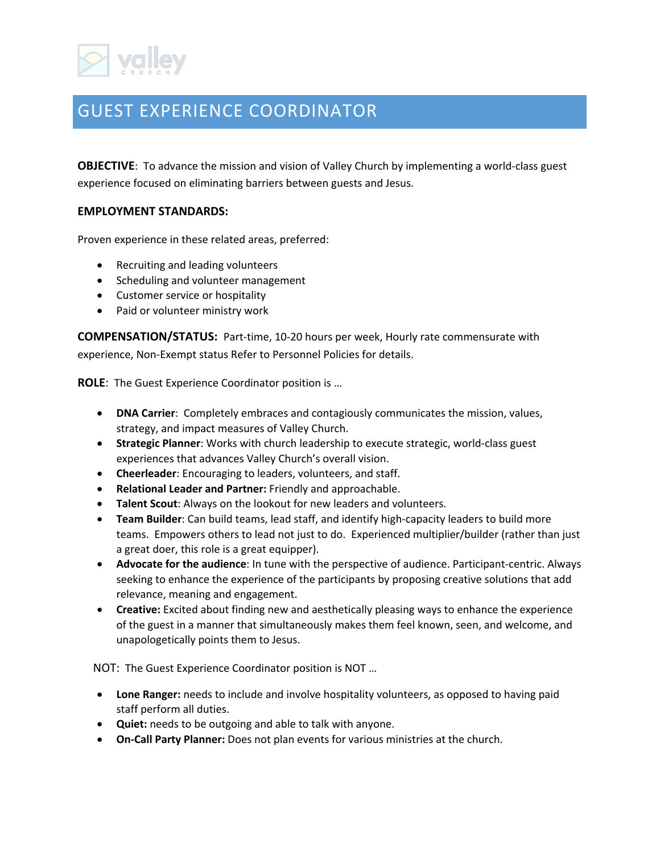## GUEST EXPERIENCE COORDINATOR

**OBJECTIVE**: To advance the mission and vision of Valley Church by implementing a world-class guest experience focused on eliminating barriers between guests and Jesus.

## **EMPLOYMENT STANDARDS:**

Proven experience in these related areas, preferred:

- Recruiting and leading volunteers
- Scheduling and volunteer management
- Customer service or hospitality
- Paid or volunteer ministry work

**COMPENSATION/STATUS:** Part-time, 10-20 hours per week, Hourly rate commensurate with experience, Non-Exempt status Refer to Personnel Policies for details.

**ROLE**: The Guest Experience Coordinator position is …

- **DNA Carrier**: Completely embraces and contagiously communicates the mission, values, strategy, and impact measures of Valley Church.
- **Strategic Planner**: Works with church leadership to execute strategic, world-class guest experiences that advances Valley Church's overall vision.
- **Cheerleader**: Encouraging to leaders, volunteers, and staff.
- **Relational Leader and Partner:** Friendly and approachable.
- **Talent Scout**: Always on the lookout for new leaders and volunteers.
- **Team Builder**: Can build teams, lead staff, and identify high-capacity leaders to build more teams. Empowers others to lead not just to do. Experienced multiplier/builder (rather than just a great doer, this role is a great equipper).
- **Advocate for the audience**: In tune with the perspective of audience. Participant-centric. Always seeking to enhance the experience of the participants by proposing creative solutions that add relevance, meaning and engagement.
- **Creative:** Excited about finding new and aesthetically pleasing ways to enhance the experience of the guest in a manner that simultaneously makes them feel known, seen, and welcome, and unapologetically points them to Jesus.

NOT: The Guest Experience Coordinator position is NOT …

- **Lone Ranger:** needs to include and involve hospitality volunteers, as opposed to having paid staff perform all duties.
- **Quiet:** needs to be outgoing and able to talk with anyone.
- **On-Call Party Planner:** Does not plan events for various ministries at the church.